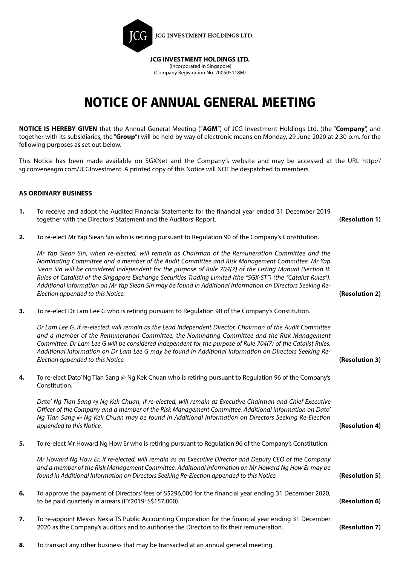

### (Company Registration No. 200505118M)

## **NOTICE OF ANNUAL GENERAL MEETING**

**NOTICE IS HEREBY GIVEN** that the Annual General Meeting ("**AGM**") of JCG Investment Holdings Ltd. (the "**Company**", and together with its subsidiaries, the "**Group**") will be held by way of electronic means on Monday, 29 June 2020 at 2.30 p.m. for the following purposes as set out below.

This Notice has been made available on SGXNet and the Company's website and may be accessed at the URL http:// sg.conveneagm.com/JCGInvestment. A printed copy of this Notice will NOT be despatched to members.

### **AS ORDINARY BUSINESS**

- **1.** To receive and adopt the Audited Financial Statements for the financial year ended 31 December 2019 together with the Directors' Statement and the Auditors' Report. **(Resolution 1)**
- **2.** To re-elect Mr Yap Siean Sin who is retiring pursuant to Regulation 90 of the Company's Constitution.

*Mr Yap Siean Sin, when re-elected, will remain as Chairman of the Remuneration Committee and the Nominating Committee and a member of the Audit Committee and Risk Management Committee. Mr Yap Siean Sin will be considered independent for the purpose of Rule 704(7) of the Listing Manual (Section B: Rules of Catalist) of the Singapore Exchange Securities Trading Limited (the "SGX-ST") (the "Catalist Rules"). Additional information on Mr Yap Siean Sin may be found in Additional Information on Directors Seeking Re-Election appended to this Notice.* **(Resolution 2)**

**3.** To re-elect Dr Lam Lee G who is retiring pursuant to Regulation 90 of the Company's Constitution.

*Dr Lam Lee G, if re-elected, will remain as the Lead Independent Director, Chairman of the Audit Committee and a member of the Remuneration Committee, the Nominating Committee and the Risk Management Committee. Dr Lam Lee G will be considered independent for the purpose of Rule 704(7) of the Catalist Rules. Additional information on Dr Lam Lee G may be found in Additional Information on Directors Seeking Re-Election appended to this Notice.* **(Resolution 3)**

**4.** To re-elect Dato' Ng Tian Sang @ Ng Kek Chuan who is retiring pursuant to Regulation 96 of the Company's Constitution.

*Dato' Ng Tian Sang @ Ng Kek Chuan, if re-elected, will remain as Executive Chairman and Chief Executive Officer of the Company and a member of the Risk Management Committee. Additional information on Dato' Ng Tian Sang @ Ng Kek Chuan may be found in Additional Information on Directors Seeking Re-Election appended to this Notice.* **(Resolution 4)**

**5.** To re-elect Mr Howard Ng How Er who is retiring pursuant to Regulation 96 of the Company's Constitution.

*Mr Howard Ng How Er, if re-elected, will remain as an Executive Director and Deputy CEO of the Company and a member of the Risk Management Committee. Additional information on Mr Howard Ng How Er may be found in Additional Information on Directors Seeking Re-Election appended to this Notice.* **(Resolution 5)**

- **6.** To approve the payment of Directors' fees of S\$296,000 for the financial year ending 31 December 2020, to be paid quarterly in arrears (FY2019: S\$157,000). **(Resolution 6)**
- **7.** To re-appoint Messrs Nexia TS Public Accounting Corporation for the financial year ending 31 December 2020 as the Company's auditors and to authorise the Directors to fix their remuneration. **(Resolution 7)**
- **8.** To transact any other business that may be transacted at an annual general meeting.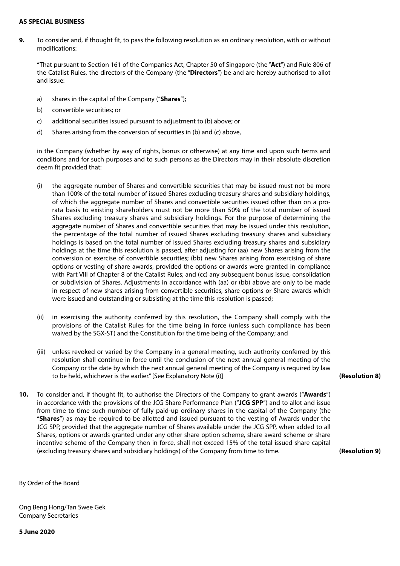#### **AS SPECIAL BUSINESS**

**9.** To consider and, if thought fit, to pass the following resolution as an ordinary resolution, with or without modifications:

"That pursuant to Section 161 of the Companies Act, Chapter 50 of Singapore (the "**Act**") and Rule 806 of the Catalist Rules, the directors of the Company (the "**Directors**") be and are hereby authorised to allot and issue:

- a) shares in the capital of the Company ("**Shares**");
- b) convertible securities; or
- c) additional securities issued pursuant to adjustment to (b) above; or
- d) Shares arising from the conversion of securities in (b) and (c) above,

in the Company (whether by way of rights, bonus or otherwise) at any time and upon such terms and conditions and for such purposes and to such persons as the Directors may in their absolute discretion deem fit provided that:

- (i) the aggregate number of Shares and convertible securities that may be issued must not be more than 100% of the total number of issued Shares excluding treasury shares and subsidiary holdings, of which the aggregate number of Shares and convertible securities issued other than on a prorata basis to existing shareholders must not be more than 50% of the total number of issued Shares excluding treasury shares and subsidiary holdings. For the purpose of determining the aggregate number of Shares and convertible securities that may be issued under this resolution, the percentage of the total number of issued Shares excluding treasury shares and subsidiary holdings is based on the total number of issued Shares excluding treasury shares and subsidiary holdings at the time this resolution is passed, after adjusting for (aa) new Shares arising from the conversion or exercise of convertible securities; (bb) new Shares arising from exercising of share options or vesting of share awards, provided the options or awards were granted in compliance with Part VIII of Chapter 8 of the Catalist Rules; and (cc) any subsequent bonus issue, consolidation or subdivision of Shares. Adjustments in accordance with (aa) or (bb) above are only to be made in respect of new shares arising from convertible securities, share options or Share awards which were issued and outstanding or subsisting at the time this resolution is passed;
- (ii) in exercising the authority conferred by this resolution, the Company shall comply with the provisions of the Catalist Rules for the time being in force (unless such compliance has been waived by the SGX-ST) and the Constitution for the time being of the Company; and
- (iii) unless revoked or varied by the Company in a general meeting, such authority conferred by this resolution shall continue in force until the conclusion of the next annual general meeting of the Company or the date by which the next annual general meeting of the Company is required by law to be held, whichever is the earlier." [See Explanatory Note (i)]
- **10.** To consider and, if thought fit, to authorise the Directors of the Company to grant awards ("**Awards**") in accordance with the provisions of the JCG Share Performance Plan ("**JCG SPP**") and to allot and issue from time to time such number of fully paid-up ordinary shares in the capital of the Company (the "**Shares**") as may be required to be allotted and issued pursuant to the vesting of Awards under the JCG SPP, provided that the aggregate number of Shares available under the JCG SPP, when added to all Shares, options or awards granted under any other share option scheme, share award scheme or share incentive scheme of the Company then in force, shall not exceed 15% of the total issued share capital (excluding treasury shares and subsidiary holdings) of the Company from time to time. **(Resolution 9)**

By Order of the Board

Ong Beng Hong/Tan Swee Gek Company Secretaries

**5 June 2020**

**(Resolution 8)**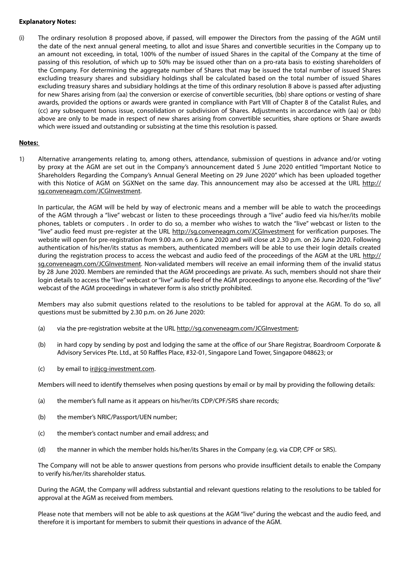#### **Explanatory Notes:**

(i) The ordinary resolution 8 proposed above, if passed, will empower the Directors from the passing of the AGM until the date of the next annual general meeting, to allot and issue Shares and convertible securities in the Company up to an amount not exceeding, in total, 100% of the number of issued Shares in the capital of the Company at the time of passing of this resolution, of which up to 50% may be issued other than on a pro-rata basis to existing shareholders of the Company. For determining the aggregate number of Shares that may be issued the total number of issued Shares excluding treasury shares and subsidiary holdings shall be calculated based on the total number of issued Shares excluding treasury shares and subsidiary holdings at the time of this ordinary resolution 8 above is passed after adjusting for new Shares arising from (aa) the conversion or exercise of convertible securities, (bb) share options or vesting of share awards, provided the options or awards were granted in compliance with Part VIII of Chapter 8 of the Catalist Rules, and (cc) any subsequent bonus issue, consolidation or subdivision of Shares. Adjustments in accordance with (aa) or (bb) above are only to be made in respect of new shares arising from convertible securities, share options or Share awards which were issued and outstanding or subsisting at the time this resolution is passed.

### **Notes:**

1) Alternative arrangements relating to, among others, attendance, submission of questions in advance and/or voting by proxy at the AGM are set out in the Company's announcement dated 5 June 2020 entitled "Important Notice to Shareholders Regarding the Company's Annual General Meeting on 29 June 2020" which has been uploaded together with this Notice of AGM on SGXNet on the same day. This announcement may also be accessed at the URL http:// sg.conveneagm.com/JCGInvestment.

In particular, the AGM will be held by way of electronic means and a member will be able to watch the proceedings of the AGM through a "live" webcast or listen to these proceedings through a "live" audio feed via his/her/its mobile phones, tablets or computers . In order to do so, a member who wishes to watch the "live" webcast or listen to the "live" audio feed must pre-register at the URL http://sg.conveneagm.com/JCGInvestment for verification purposes. The website will open for pre-registration from 9.00 a.m. on 6 June 2020 and will close at 2.30 p.m. on 26 June 2020. Following authentication of his/her/its status as members, authenticated members will be able to use their login details created during the registration process to access the webcast and audio feed of the proceedings of the AGM at the URL http:// sg.conveneagm.com/JCGInvestment. Non-validated members will receive an email informing them of the invalid status by 28 June 2020. Members are reminded that the AGM proceedings are private. As such, members should not share their login details to access the "live" webcast or "live" audio feed of the AGM proceedings to anyone else. Recording of the "live" webcast of the AGM proceedings in whatever form is also strictly prohibited.

Members may also submit questions related to the resolutions to be tabled for approval at the AGM. To do so, all questions must be submitted by 2.30 p.m. on 26 June 2020:

- (a) via the pre-registration website at the URL http://sg.conveneagm.com/JCGInvestment;
- (b) in hard copy by sending by post and lodging the same at the office of our Share Registrar, Boardroom Corporate & Advisory Services Pte. Ltd., at 50 Raffles Place, #32-01, Singapore Land Tower, Singapore 048623; or
- $(c)$  by email to  $ir@jcg-investment.com$ .

Members will need to identify themselves when posing questions by email or by mail by providing the following details:

- (a) the member's full name as it appears on his/her/its CDP/CPF/SRS share records;
- (b) the member's NRIC/Passport/UEN number;
- (c) the member's contact number and email address; and
- (d) the manner in which the member holds his/her/its Shares in the Company (e.g. via CDP, CPF or SRS).

The Company will not be able to answer questions from persons who provide insufficient details to enable the Company to verify his/her/its shareholder status.

During the AGM, the Company will address substantial and relevant questions relating to the resolutions to be tabled for approval at the AGM as received from members.

Please note that members will not be able to ask questions at the AGM "live" during the webcast and the audio feed, and therefore it is important for members to submit their questions in advance of the AGM.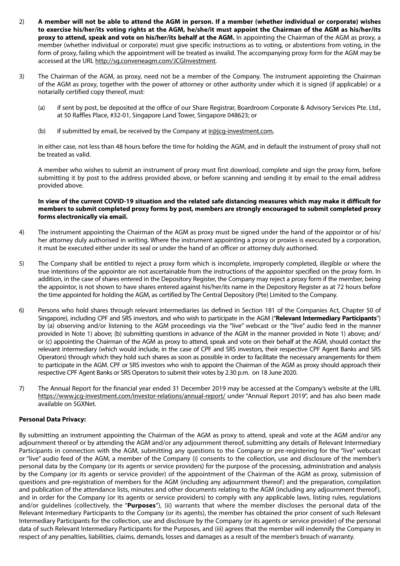- 2) **A member will not be able to attend the AGM in person. If a member (whether individual or corporate) wishes to exercise his/her/its voting rights at the AGM, he/she/it must appoint the Chairman of the AGM as his/her/its proxy to attend, speak and vote on his/her/its behalf at the AGM.** In appointing the Chairman of the AGM as proxy, a member (whether individual or corporate) must give specific instructions as to voting, or abstentions from voting, in the form of proxy, failing which the appointment will be treated as invalid. The accompanying proxy form for the AGM may be accessed at the URL http://sg.conveneagm.com/JCGInvestment.
- 3) The Chairman of the AGM, as proxy, need not be a member of the Company. The instrument appointing the Chairman of the AGM as proxy, together with the power of attorney or other authority under which it is signed (if applicable) or a notarially certified copy thereof, must:
	- (a) if sent by post, be deposited at the office of our Share Registrar, Boardroom Corporate & Advisory Services Pte. Ltd., at 50 Raffles Place, #32-01, Singapore Land Tower, Singapore 048623; or
	- (b) if submitted by email, be received by the Company at  $ir@icq-investment.com$ ,

in either case, not less than 48 hours before the time for holding the AGM, and in default the instrument of proxy shall not be treated as valid.

A member who wishes to submit an instrument of proxy must first download, complete and sign the proxy form, before submitting it by post to the address provided above, or before scanning and sending it by email to the email address provided above.

#### **In view of the current COVID-19 situation and the related safe distancing measures which may make it difficult for members to submit completed proxy forms by post, members are strongly encouraged to submit completed proxy forms electronically via email.**

- 4) The instrument appointing the Chairman of the AGM as proxy must be signed under the hand of the appointor or of his/ her attorney duly authorised in writing. Where the instrument appointing a proxy or proxies is executed by a corporation, it must be executed either under its seal or under the hand of an officer or attorney duly authorised.
- 5) The Company shall be entitled to reject a proxy form which is incomplete, improperly completed, illegible or where the true intentions of the appointor are not ascertainable from the instructions of the appointor specified on the proxy form. In addition, in the case of shares entered in the Depository Register, the Company may reject a proxy form if the member, being the appointor, is not shown to have shares entered against his/her/its name in the Depository Register as at 72 hours before the time appointed for holding the AGM, as certified by The Central Depository (Pte) Limited to the Company.
- 6) Persons who hold shares through relevant intermediaries (as defined in Section 181 of the Companies Act, Chapter 50 of Singapore), including CPF and SRS investors, and who wish to participate in the AGM ("**Relevant Intermediary Participants**") by (a) observing and/or listening to the AGM proceedings via the "live" webcast or the "live" audio feed in the manner provided in Note 1) above; (b) submitting questions in advance of the AGM in the manner provided in Note 1) above; and/ or (c) appointing the Chairman of the AGM as proxy to attend, speak and vote on their behalf at the AGM, should contact the relevant intermediary (which would include, in the case of CPF and SRS investors, their respective CPF Agent Banks and SRS Operators) through which they hold such shares as soon as possible in order to facilitate the necessary arrangements for them to participate in the AGM. CPF or SRS investors who wish to appoint the Chairman of the AGM as proxy should approach their respective CPF Agent Banks or SRS Operators to submit their votes by 2.30 p.m. on 18 June 2020.
- 7) The Annual Report for the financial year ended 31 December 2019 may be accessed at the Company's website at the URL https://www.jcg-investment.com/investor-relations/annual-report/ under "Annual Report 2019", and has also been made available on SGXNet.

### **Personal Data Privacy:**

By submitting an instrument appointing the Chairman of the AGM as proxy to attend, speak and vote at the AGM and/or any adjournment thereof or by attending the AGM and/or any adjournment thereof, submitting any details of Relevant Intermediary Participants in connection with the AGM, submitting any questions to the Company or pre-registering for the "live" webcast or "live" audio feed of the AGM, a member of the Company (i) consents to the collection, use and disclosure of the member's personal data by the Company (or its agents or service providers) for the purpose of the processing, administration and analysis by the Company (or its agents or service provider) of the appointment of the Chairman of the AGM as proxy, submission of questions and pre-registration of members for the AGM (including any adjournment thereof) and the preparation, compilation and publication of the attendance lists, minutes and other documents relating to the AGM (including any adjournment thereof), and in order for the Company (or its agents or service providers) to comply with any applicable laws, listing rules, regulations and/or guidelines (collectively, the "**Purposes**"), (ii) warrants that where the member discloses the personal data of the Relevant Intermediary Participants to the Company (or its agents), the member has obtained the prior consent of such Relevant Intermediary Participants for the collection, use and disclosure by the Company (or its agents or service provider) of the personal data of such Relevant Intermediary Participants for the Purposes, and (iii) agrees that the member will indemnify the Company in respect of any penalties, liabilities, claims, demands, losses and damages as a result of the member's breach of warranty.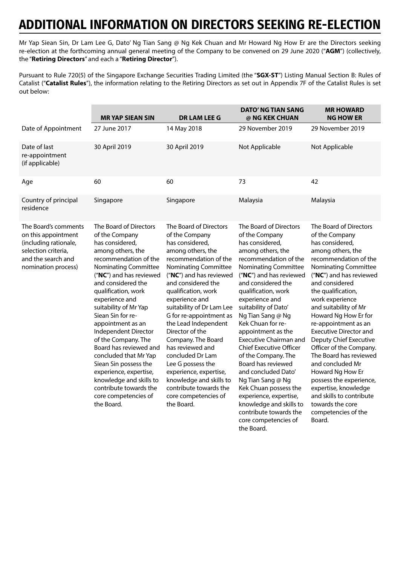Mr Yap Siean Sin, Dr Lam Lee G, Dato' Ng Tian Sang @ Ng Kek Chuan and Mr Howard Ng How Er are the Directors seeking re-election at the forthcoming annual general meeting of the Company to be convened on 29 June 2020 ("**AGM**") (collectively, the "**Retiring Directors**" and each a "**Retiring Director**").

Pursuant to Rule 720(5) of the Singapore Exchange Securities Trading Limited (the "**SGX-ST**") Listing Manual Section B: Rules of Catalist ("**Catalist Rules**"), the information relating to the Retiring Directors as set out in Appendix 7F of the Catalist Rules is set out below:

|                                                                                                                                          | <b>MRYAP SIEAN SIN</b>                                                                                                                                                                                                                                                                                                                                                                                                                                                                                                                                | <b>DR LAM LEE G</b>                                                                                                                                                                                                                                                                                                                                                                                                                                                                                                                           | <b>DATO' NG TIAN SANG</b><br>@ NG KEK CHUAN                                                                                                                                                                                                                                                                                                                                                                                                                                                                                                                                                                                         | <b>MR HOWARD</b><br><b>NG HOW ER</b>                                                                                                                                                                                                                                                                                                                                                                                                                                                                                                                                                         |
|------------------------------------------------------------------------------------------------------------------------------------------|-------------------------------------------------------------------------------------------------------------------------------------------------------------------------------------------------------------------------------------------------------------------------------------------------------------------------------------------------------------------------------------------------------------------------------------------------------------------------------------------------------------------------------------------------------|-----------------------------------------------------------------------------------------------------------------------------------------------------------------------------------------------------------------------------------------------------------------------------------------------------------------------------------------------------------------------------------------------------------------------------------------------------------------------------------------------------------------------------------------------|-------------------------------------------------------------------------------------------------------------------------------------------------------------------------------------------------------------------------------------------------------------------------------------------------------------------------------------------------------------------------------------------------------------------------------------------------------------------------------------------------------------------------------------------------------------------------------------------------------------------------------------|----------------------------------------------------------------------------------------------------------------------------------------------------------------------------------------------------------------------------------------------------------------------------------------------------------------------------------------------------------------------------------------------------------------------------------------------------------------------------------------------------------------------------------------------------------------------------------------------|
| Date of Appointment                                                                                                                      | 27 June 2017                                                                                                                                                                                                                                                                                                                                                                                                                                                                                                                                          | 14 May 2018                                                                                                                                                                                                                                                                                                                                                                                                                                                                                                                                   | 29 November 2019                                                                                                                                                                                                                                                                                                                                                                                                                                                                                                                                                                                                                    | 29 November 2019                                                                                                                                                                                                                                                                                                                                                                                                                                                                                                                                                                             |
| Date of last<br>re-appointment<br>(if applicable)                                                                                        | 30 April 2019                                                                                                                                                                                                                                                                                                                                                                                                                                                                                                                                         | 30 April 2019                                                                                                                                                                                                                                                                                                                                                                                                                                                                                                                                 | Not Applicable                                                                                                                                                                                                                                                                                                                                                                                                                                                                                                                                                                                                                      | Not Applicable                                                                                                                                                                                                                                                                                                                                                                                                                                                                                                                                                                               |
| Age                                                                                                                                      | 60                                                                                                                                                                                                                                                                                                                                                                                                                                                                                                                                                    | 60                                                                                                                                                                                                                                                                                                                                                                                                                                                                                                                                            | 73                                                                                                                                                                                                                                                                                                                                                                                                                                                                                                                                                                                                                                  | 42                                                                                                                                                                                                                                                                                                                                                                                                                                                                                                                                                                                           |
| Country of principal<br>residence                                                                                                        | Singapore                                                                                                                                                                                                                                                                                                                                                                                                                                                                                                                                             | Singapore                                                                                                                                                                                                                                                                                                                                                                                                                                                                                                                                     | Malaysia                                                                                                                                                                                                                                                                                                                                                                                                                                                                                                                                                                                                                            | Malaysia                                                                                                                                                                                                                                                                                                                                                                                                                                                                                                                                                                                     |
| The Board's comments<br>on this appointment<br>(including rationale,<br>selection criteria,<br>and the search and<br>nomination process) | The Board of Directors<br>of the Company<br>has considered,<br>among others, the<br>recommendation of the<br><b>Nominating Committee</b><br>("NC") and has reviewed<br>and considered the<br>qualification, work<br>experience and<br>suitability of Mr Yap<br>Siean Sin for re-<br>appointment as an<br>Independent Director<br>of the Company. The<br>Board has reviewed and<br>concluded that Mr Yap<br>Siean Sin possess the<br>experience, expertise,<br>knowledge and skills to<br>contribute towards the<br>core competencies of<br>the Board. | The Board of Directors<br>of the Company<br>has considered,<br>among others, the<br>recommendation of the<br><b>Nominating Committee</b><br>("NC") and has reviewed<br>and considered the<br>qualification, work<br>experience and<br>suitability of Dr Lam Lee<br>G for re-appointment as<br>the Lead Independent<br>Director of the<br>Company. The Board<br>has reviewed and<br>concluded Dr Lam<br>Lee G possess the<br>experience, expertise,<br>knowledge and skills to<br>contribute towards the<br>core competencies of<br>the Board. | The Board of Directors<br>of the Company<br>has considered,<br>among others, the<br>recommendation of the<br><b>Nominating Committee</b><br>("NC") and has reviewed<br>and considered the<br>qualification, work<br>experience and<br>suitability of Dato'<br>Ng Tian Sang @ Ng<br>Kek Chuan for re-<br>appointment as the<br><b>Executive Chairman and</b><br><b>Chief Executive Officer</b><br>of the Company. The<br>Board has reviewed<br>and concluded Dato'<br>Ng Tian Sang @ Ng<br>Kek Chuan possess the<br>experience, expertise,<br>knowledge and skills to<br>contribute towards the<br>core competencies of<br>the Board | The Board of Directors<br>of the Company<br>has considered,<br>among others, the<br>recommendation of the<br>Nominating Committee<br>("NC") and has reviewed<br>and considered<br>the qualification,<br>work experience<br>and suitability of Mr<br>Howard Ng How Er for<br>re-appointment as an<br><b>Executive Director and</b><br>Deputy Chief Executive<br>Officer of the Company.<br>The Board has reviewed<br>and concluded Mr<br>Howard Ng How Er<br>possess the experience,<br>expertise, knowledge<br>and skills to contribute<br>towards the core<br>competencies of the<br>Board. |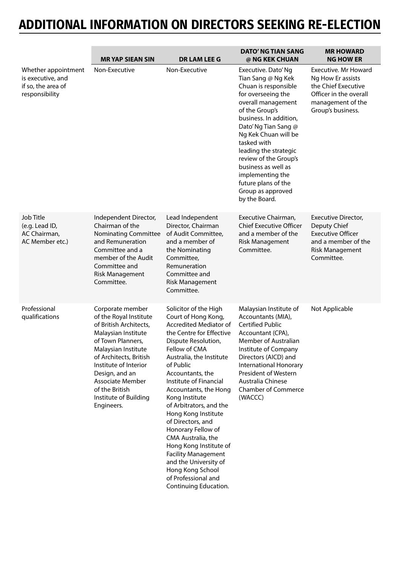|                                                                                  | <b>MRYAP SIEAN SIN</b>                                                                                                                                                                                                                                                                           | <b>DR LAM LEE G</b>                                                                                                                                                                                                                                                                                                                                                                                                                                                                                                                                         | <b>DATO' NG TIAN SANG</b><br>@ NG KEK CHUAN                                                                                                                                                                                                                                                                                                                                        | <b>MR HOWARD</b><br><b>NG HOW ER</b>                                                                                                 |
|----------------------------------------------------------------------------------|--------------------------------------------------------------------------------------------------------------------------------------------------------------------------------------------------------------------------------------------------------------------------------------------------|-------------------------------------------------------------------------------------------------------------------------------------------------------------------------------------------------------------------------------------------------------------------------------------------------------------------------------------------------------------------------------------------------------------------------------------------------------------------------------------------------------------------------------------------------------------|------------------------------------------------------------------------------------------------------------------------------------------------------------------------------------------------------------------------------------------------------------------------------------------------------------------------------------------------------------------------------------|--------------------------------------------------------------------------------------------------------------------------------------|
| Whether appointment<br>is executive, and<br>if so, the area of<br>responsibility | Non-Executive                                                                                                                                                                                                                                                                                    | Non-Executive                                                                                                                                                                                                                                                                                                                                                                                                                                                                                                                                               | Executive. Dato' Ng<br>Tian Sang @ Ng Kek<br>Chuan is responsible<br>for overseeing the<br>overall management<br>of the Group's<br>business. In addition,<br>Dato' Ng Tian Sang @<br>Ng Kek Chuan will be<br>tasked with<br>leading the strategic<br>review of the Group's<br>business as well as<br>implementing the<br>future plans of the<br>Group as approved<br>by the Board. | Executive, Mr Howard<br>Ng How Er assists<br>the Chief Executive<br>Officer in the overall<br>management of the<br>Group's business. |
| Job Title<br>(e.g. Lead ID,<br>AC Chairman,<br>AC Member etc.)                   | Independent Director,<br>Chairman of the<br><b>Nominating Committee</b><br>and Remuneration<br>Committee and a<br>member of the Audit<br>Committee and<br><b>Risk Management</b><br>Committee.                                                                                                   | Lead Independent<br>Director, Chairman<br>of Audit Committee,<br>and a member of<br>the Nominating<br>Committee,<br>Remuneration<br>Committee and<br><b>Risk Management</b><br>Committee.                                                                                                                                                                                                                                                                                                                                                                   | Executive Chairman,<br><b>Chief Executive Officer</b><br>and a member of the<br><b>Risk Management</b><br>Committee.                                                                                                                                                                                                                                                               | Executive Director,<br>Deputy Chief<br><b>Executive Officer</b><br>and a member of the<br><b>Risk Management</b><br>Committee.       |
| Professional<br>qualifications                                                   | Corporate member<br>of the Royal Institute<br>of British Architects,<br>Malaysian Institute<br>of Town Planners,<br>Malaysian Institute<br>of Architects, British<br>Institute of Interior<br>Design, and an<br><b>Associate Member</b><br>of the British<br>Institute of Building<br>Engineers. | Solicitor of the High<br>Court of Hong Kong,<br><b>Accredited Mediator of</b><br>the Centre for Effective<br>Dispute Resolution,<br>Fellow of CMA<br>Australia, the Institute<br>of Public<br>Accountants, the<br>Institute of Financial<br>Accountants, the Hong<br>Kong Institute<br>of Arbitrators, and the<br>Hong Kong Institute<br>of Directors, and<br>Honorary Fellow of<br>CMA Australia, the<br>Hong Kong Institute of<br><b>Facility Management</b><br>and the University of<br>Hong Kong School<br>of Professional and<br>Continuing Education. | Malaysian Institute of<br>Accountants (MIA),<br><b>Certified Public</b><br>Accountant (CPA),<br>Member of Australian<br>Institute of Company<br>Directors (AICD) and<br>International Honorary<br>President of Western<br>Australia Chinese<br><b>Chamber of Commerce</b><br>(WACCC)                                                                                               | Not Applicable                                                                                                                       |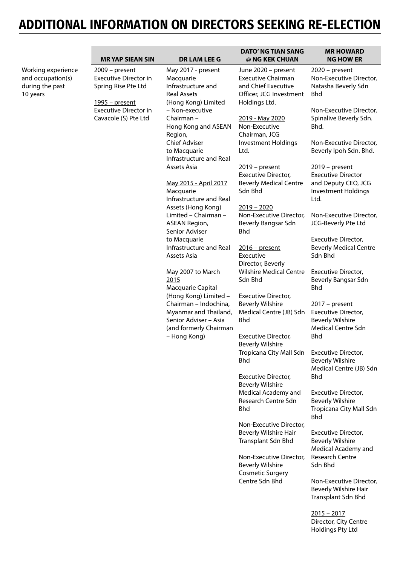|                                                                        | <b>MR YAP SIEAN SIN</b>                                                | <b>DR LAM LEE G</b>                                                                                                                                                                                                                    | <b>DATO' NG TIAN SANG</b><br>@ NG KEK CHUAN                                                        | <b>MR HOWARD</b><br><b>NG HOW ER</b>                                                          |
|------------------------------------------------------------------------|------------------------------------------------------------------------|----------------------------------------------------------------------------------------------------------------------------------------------------------------------------------------------------------------------------------------|----------------------------------------------------------------------------------------------------|-----------------------------------------------------------------------------------------------|
| Working experience<br>and occupation(s)<br>during the past<br>10 years | 2009 - present<br><b>Executive Director in</b><br>Spring Rise Pte Ltd  | May 2017 - present<br>Macquarie<br>Infrastructure and<br><b>Real Assets</b>                                                                                                                                                            | June 2020 - present<br><b>Executive Chairman</b><br>and Chief Executive<br>Officer, JCG Investment | 2020 - present<br>Non-Executive Director,<br>Natasha Beverly Sdn<br><b>Bhd</b>                |
|                                                                        | 1995 - present<br><b>Executive Director in</b><br>Cavacole (S) Pte Ltd | (Hong Kong) Limited<br>- Non-executive<br>Chairman -<br>Hong Kong and ASEAN<br>Region,                                                                                                                                                 | Holdings Ltd.<br>2019 - May 2020<br>Non-Executive<br>Chairman, JCG                                 | Non-Executive Director,<br>Spinalive Beverly Sdn.<br>Bhd.                                     |
|                                                                        |                                                                        | <b>Chief Adviser</b><br>to Macquarie<br>Infrastructure and Real                                                                                                                                                                        | <b>Investment Holdings</b><br>Ltd.                                                                 | Non-Executive Director,<br>Beverly Ipoh Sdn. Bhd.                                             |
|                                                                        |                                                                        | Assets Asia<br>May 2015 - April 2017                                                                                                                                                                                                   | $2019$ – present<br>Executive Director,<br><b>Beverly Medical Centre</b>                           | $2019$ – present<br><b>Executive Director</b><br>and Deputy CEO, JCG                          |
|                                                                        |                                                                        | Macquarie<br>Infrastructure and Real<br>Assets (Hong Kong)                                                                                                                                                                             | Sdn Bhd<br>$2019 - 2020$                                                                           | Investment Holdings<br>Ltd.                                                                   |
|                                                                        |                                                                        | Limited - Chairman -<br><b>ASEAN Region,</b><br>Senior Adviser                                                                                                                                                                         | Non-Executive Director,<br>Beverly Bangsar Sdn<br><b>Bhd</b>                                       | Non-Executive Director,<br>JCG-Beverly Pte Ltd                                                |
|                                                                        |                                                                        | to Macquarie<br>Infrastructure and Real<br>Assets Asia<br>May 2007 to March<br>2015<br>Macquarie Capital<br>(Hong Kong) Limited -<br>Chairman - Indochina,<br>Myanmar and Thailand,<br>Senior Adviser - Asia<br>(and formerly Chairman | $2016$ – present<br>Executive<br>Director, Beverly                                                 | Executive Director,<br><b>Beverly Medical Centre</b><br>Sdn Bhd                               |
|                                                                        |                                                                        |                                                                                                                                                                                                                                        | <b>Wilshire Medical Centre</b><br>Sdn Bhd                                                          | Executive Director,<br>Beverly Bangsar Sdn<br><b>Bhd</b>                                      |
|                                                                        |                                                                        |                                                                                                                                                                                                                                        | Executive Director,<br><b>Beverly Wilshire</b><br>Medical Centre (JB) Sdn<br><b>Bhd</b>            | 2017 - present<br>Executive Director,<br><b>Beverly Wilshire</b><br><b>Medical Centre Sdn</b> |
|                                                                        |                                                                        | - Hong Kong)                                                                                                                                                                                                                           | Executive Director,<br><b>Beverly Wilshire</b>                                                     | <b>Bhd</b><br><b>Executive Director,</b>                                                      |
|                                                                        |                                                                        |                                                                                                                                                                                                                                        | Tropicana City Mall Sdn<br><b>Bhd</b>                                                              | <b>Beverly Wilshire</b><br>Medical Centre (JB) Sdn                                            |
|                                                                        |                                                                        |                                                                                                                                                                                                                                        | Executive Director,<br><b>Beverly Wilshire</b><br>Medical Academy and                              | <b>Bhd</b><br>Executive Director,                                                             |
|                                                                        |                                                                        |                                                                                                                                                                                                                                        | Research Centre Sdn<br><b>Bhd</b>                                                                  | <b>Beverly Wilshire</b><br>Tropicana City Mall Sdn<br><b>Bhd</b>                              |
|                                                                        |                                                                        |                                                                                                                                                                                                                                        | Non-Executive Director,<br>Beverly Wilshire Hair<br>Transplant Sdn Bhd                             | Executive Director,<br><b>Beverly Wilshire</b><br>Medical Academy and                         |
|                                                                        |                                                                        |                                                                                                                                                                                                                                        | Non-Executive Director,<br><b>Beverly Wilshire</b><br><b>Cosmetic Surgery</b>                      | Research Centre<br>Sdn Bhd                                                                    |
|                                                                        |                                                                        |                                                                                                                                                                                                                                        | Centre Sdn Bhd                                                                                     | Non-Executive Director,<br>Beverly Wilshire Hair<br>Transplant Sdn Bhd                        |
|                                                                        |                                                                        |                                                                                                                                                                                                                                        |                                                                                                    | $2015 - 2017$<br>Director, City Centre<br>Holdings Pty Ltd                                    |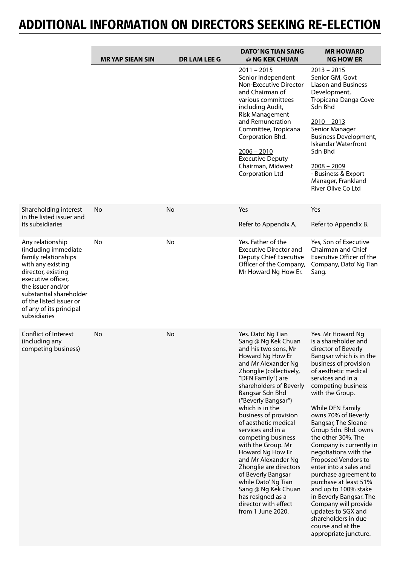|                                                                                                                                                                                                                                                         | <b>MRYAP SIEAN SIN</b> | <b>DR LAM LEE G</b> | <b>DATO' NG TIAN SANG</b><br>@ NG KEK CHUAN                                                                                                                                                                                                                                                                                                                                                                                                                                                                                                                                       | <b>MR HOWARD</b><br><b>NG HOW ER</b>                                                                                                                                                                                                                                                                                                                                                                                                                                                                                                                                                                                                                    |
|---------------------------------------------------------------------------------------------------------------------------------------------------------------------------------------------------------------------------------------------------------|------------------------|---------------------|-----------------------------------------------------------------------------------------------------------------------------------------------------------------------------------------------------------------------------------------------------------------------------------------------------------------------------------------------------------------------------------------------------------------------------------------------------------------------------------------------------------------------------------------------------------------------------------|---------------------------------------------------------------------------------------------------------------------------------------------------------------------------------------------------------------------------------------------------------------------------------------------------------------------------------------------------------------------------------------------------------------------------------------------------------------------------------------------------------------------------------------------------------------------------------------------------------------------------------------------------------|
|                                                                                                                                                                                                                                                         |                        |                     | $2011 - 2015$<br>Senior Independent<br>Non-Executive Director<br>and Chairman of<br>various committees<br>including Audit,<br><b>Risk Management</b><br>and Remuneration<br>Committee, Tropicana<br>Corporation Bhd.<br>$2006 - 2010$<br><b>Executive Deputy</b><br>Chairman, Midwest<br>Corporation Ltd                                                                                                                                                                                                                                                                          | $2013 - 2015$<br>Senior GM, Govt<br><b>Liason and Business</b><br>Development,<br>Tropicana Danga Cove<br>Sdn Bhd<br>$2010 - 2013$<br>Senior Manager<br><b>Business Development,</b><br><b>Iskandar Waterfront</b><br>Sdn Bhd<br>$2008 - 2009$<br>- Business & Export<br>Manager, Frankland<br>River Olive Co Ltd                                                                                                                                                                                                                                                                                                                                       |
| Shareholding interest<br>in the listed issuer and<br>its subsidiaries                                                                                                                                                                                   | No                     | No                  | Yes<br>Refer to Appendix A,                                                                                                                                                                                                                                                                                                                                                                                                                                                                                                                                                       | Yes<br>Refer to Appendix B.                                                                                                                                                                                                                                                                                                                                                                                                                                                                                                                                                                                                                             |
| Any relationship<br>(including immediate<br>family relationships<br>with any existing<br>director, existing<br>executive officer,<br>the issuer and/or<br>substantial shareholder<br>of the listed issuer or<br>of any of its principal<br>subsidiaries | No                     | No                  | Yes. Father of the<br><b>Executive Director and</b><br>Deputy Chief Executive<br>Officer of the Company,<br>Mr Howard Ng How Er.                                                                                                                                                                                                                                                                                                                                                                                                                                                  | Yes, Son of Executive<br>Chairman and Chief<br>Executive Officer of the<br>Company, Dato' Ng Tian<br>Sang.                                                                                                                                                                                                                                                                                                                                                                                                                                                                                                                                              |
| Conflict of Interest<br>(including any<br>competing business)                                                                                                                                                                                           | No                     | No                  | Yes. Dato' Ng Tian<br>Sang @ Ng Kek Chuan<br>and his two sons, Mr<br>Howard Ng How Er<br>and Mr Alexander Ng<br>Zhonglie (collectively,<br>"DFN Family") are<br>shareholders of Beverly<br>Bangsar Sdn Bhd<br>("Beverly Bangsar")<br>which is in the<br>business of provision<br>of aesthetic medical<br>services and in a<br>competing business<br>with the Group. Mr<br>Howard Ng How Er<br>and Mr Alexander Ng<br>Zhonglie are directors<br>of Beverly Bangsar<br>while Dato' Ng Tian<br>Sang @ Ng Kek Chuan<br>has resigned as a<br>director with effect<br>from 1 June 2020. | Yes. Mr Howard Ng<br>is a shareholder and<br>director of Beverly<br>Bangsar which is in the<br>business of provision<br>of aesthetic medical<br>services and in a<br>competing business<br>with the Group.<br>While DFN Family<br>owns 70% of Beverly<br>Bangsar, The Sloane<br>Group Sdn. Bhd. owns<br>the other 30%. The<br>Company is currently in<br>negotiations with the<br>Proposed Vendors to<br>enter into a sales and<br>purchase agreement to<br>purchase at least 51%<br>and up to 100% stake<br>in Beverly Bangsar. The<br>Company will provide<br>updates to SGX and<br>shareholders in due<br>course and at the<br>appropriate juncture. |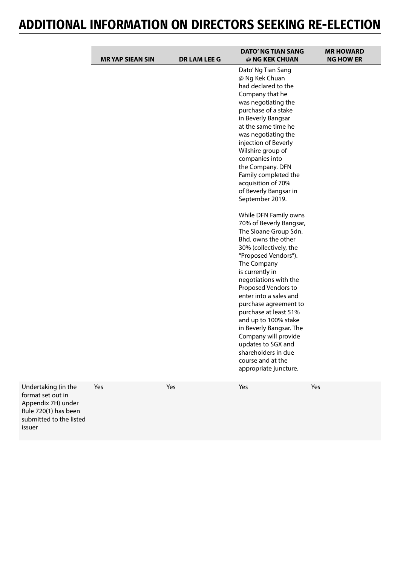|     | <b>MR YAP SIEAN SIN</b> | <b>DR LAM LEE G</b> | <b>DATO' NG TIAN SANG</b><br>@ NG KEK CHUAN                                                                                                                                                                                                                                                                                                                                                                                                                                                                                                                                                                                                                                                                                                                                                                                                                             | <b>MR HOWARD</b><br><b>NG HOW ER</b> |
|-----|-------------------------|---------------------|-------------------------------------------------------------------------------------------------------------------------------------------------------------------------------------------------------------------------------------------------------------------------------------------------------------------------------------------------------------------------------------------------------------------------------------------------------------------------------------------------------------------------------------------------------------------------------------------------------------------------------------------------------------------------------------------------------------------------------------------------------------------------------------------------------------------------------------------------------------------------|--------------------------------------|
|     |                         |                     | Dato' Ng Tian Sang<br>@ Ng Kek Chuan<br>had declared to the<br>Company that he<br>was negotiating the<br>purchase of a stake<br>in Beverly Bangsar<br>at the same time he<br>was negotiating the<br>injection of Beverly<br>Wilshire group of<br>companies into<br>the Company. DFN<br>Family completed the<br>acquisition of 70%<br>of Beverly Bangsar in<br>September 2019.<br>While DFN Family owns<br>70% of Beverly Bangsar,<br>The Sloane Group Sdn.<br>Bhd. owns the other<br>30% (collectively, the<br>"Proposed Vendors").<br>The Company<br>is currently in<br>negotiations with the<br>Proposed Vendors to<br>enter into a sales and<br>purchase agreement to<br>purchase at least 51%<br>and up to 100% stake<br>in Beverly Bangsar. The<br>Company will provide<br>updates to SGX and<br>shareholders in due<br>course and at the<br>appropriate juncture. |                                      |
| :he | Yes                     | Yes                 | Yes                                                                                                                                                                                                                                                                                                                                                                                                                                                                                                                                                                                                                                                                                                                                                                                                                                                                     | Yes                                  |

Undertaking (in the format set out in Appendix 7H) under Rule 720(1) has been submitted to the listed issuer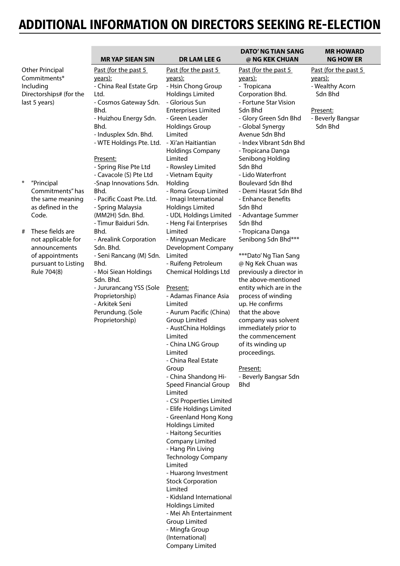|                                                                                                                                                                                                                     | <b>MRYAP SIEAN SIN</b>                                                                                                                                                                                                                                                                                                                                                                                                    | <b>DR LAM LEE G</b>                                                                                                                                                                                                                                                                                                                                                                                                                                                                                                                                                                                                                                                                                                                                                                                                                                                                                                                                                                                                                          | DATO' NG TIAN SANG<br>@ NG KEK CHUAN                                                                                                                                                                                                                                                                                                                                                                                                                                                                                                                                   | <b>MR HOWARD</b><br><b>NG HOW ER</b>                                                                             |
|---------------------------------------------------------------------------------------------------------------------------------------------------------------------------------------------------------------------|---------------------------------------------------------------------------------------------------------------------------------------------------------------------------------------------------------------------------------------------------------------------------------------------------------------------------------------------------------------------------------------------------------------------------|----------------------------------------------------------------------------------------------------------------------------------------------------------------------------------------------------------------------------------------------------------------------------------------------------------------------------------------------------------------------------------------------------------------------------------------------------------------------------------------------------------------------------------------------------------------------------------------------------------------------------------------------------------------------------------------------------------------------------------------------------------------------------------------------------------------------------------------------------------------------------------------------------------------------------------------------------------------------------------------------------------------------------------------------|------------------------------------------------------------------------------------------------------------------------------------------------------------------------------------------------------------------------------------------------------------------------------------------------------------------------------------------------------------------------------------------------------------------------------------------------------------------------------------------------------------------------------------------------------------------------|------------------------------------------------------------------------------------------------------------------|
| <b>Other Principal</b><br>Commitments*<br>Including<br>Directorships# (for the<br>last 5 years)                                                                                                                     | Past (for the past 5<br>years):<br>- China Real Estate Grp<br>Ltd.<br>- Cosmos Gateway Sdn.<br>Bhd.<br>- Huizhou Energy Sdn.<br>Bhd.<br>- Indusplex Sdn. Bhd.<br>- WTE Holdings Pte. Ltd.                                                                                                                                                                                                                                 | Past (for the past 5<br>years):<br>- Hsin Chong Group<br><b>Holdings Limited</b><br>- Glorious Sun<br><b>Enterprises Limited</b><br>- Green Leader<br><b>Holdings Group</b><br>Limited<br>- Xi'an Haitiantian<br><b>Holdings Company</b>                                                                                                                                                                                                                                                                                                                                                                                                                                                                                                                                                                                                                                                                                                                                                                                                     | Past (for the past 5<br><u>years):</u><br>- Tropicana<br>Corporation Bhd.<br>- Fortune Star Vision<br>Sdn Bhd<br>- Glory Green Sdn Bhd<br>- Global Synergy<br>Avenue Sdn Bhd<br>- Index Vibrant Sdn Bhd<br>- Tropicana Danga                                                                                                                                                                                                                                                                                                                                           | Past (for the past 5<br><u>years):</u><br>- Wealthy Acorn<br>Sdn Bhd<br>Present:<br>- Beverly Bangsar<br>Sdn Bhd |
| $\ast$<br>"Principal<br>Commitments" has<br>the same meaning<br>as defined in the<br>Code.<br>These fields are<br>#<br>not applicable for<br>announcements<br>of appointments<br>pursuant to Listing<br>Rule 704(8) | Present:<br>- Spring Rise Pte Ltd<br>- Cavacole (S) Pte Ltd<br>-Snap Innovations Sdn.<br>Bhd.<br>- Pacific Coast Pte. Ltd.<br>- Spring Malaysia<br>(MM2H) Sdn. Bhd.<br>- Timur Baiduri Sdn.<br>Bhd.<br>- Arealink Corporation<br>Sdn. Bhd.<br>- Seni Rancang (M) Sdn.<br>Bhd.<br>- Moi Siean Holdings<br>Sdn. Bhd.<br>- Jururancang YSS (Sole<br>Proprietorship)<br>- Arkitek Seni<br>Perundung. (Sole<br>Proprietorship) | Limited<br>- Rowsley Limited<br>- Vietnam Equity<br>Holding<br>- Roma Group Limited<br>- Imagi International<br><b>Holdings Limited</b><br>- UDL Holdings Limited<br>- Heng Fai Enterprises<br>Limited<br>- Mingyuan Medicare<br>Development Company<br>Limited<br>- Ruifeng Petroleum<br><b>Chemical Holdings Ltd</b><br>Present:<br>- Adamas Finance Asia<br>Limited<br>- Aurum Pacific (China)<br><b>Group Limited</b><br>- AustChina Holdings<br>Limited<br>- China LNG Group<br>Limited<br>- China Real Estate<br>Group<br>- China Shandong Hi-<br>Speed Financial Group<br>Limited<br>- CSI Properties Limited<br>- Elife Holdings Limited<br>- Greenland Hong Kong<br><b>Holdings Limited</b><br>- Haitong Securities<br>Company Limited<br>- Hang Pin Living<br><b>Technology Company</b><br>Limited<br>- Huarong Investment<br><b>Stock Corporation</b><br>Limited<br>- Kidsland International<br><b>Holdings Limited</b><br>- Mei Ah Entertainment<br><b>Group Limited</b><br>- Mingfa Group<br>(International)<br>Company Limited | Senibong Holding<br>Sdn Bhd<br>- Lido Waterfront<br><b>Boulevard Sdn Bhd</b><br>- Demi Hasrat Sdn Bhd<br>- Enhance Benefits<br>Sdn Bhd<br>- Advantage Summer<br>Sdn Bhd<br>- Tropicana Danga<br>Senibong Sdn Bhd***<br>***Dato' Ng Tian Sang<br>@ Ng Kek Chuan was<br>previously a director in<br>the above-mentioned<br>entity which are in the<br>process of winding<br>up. He confirms<br>that the above<br>company was solvent<br>immediately prior to<br>the commencement<br>of its winding up<br>proceedings.<br>Present:<br>- Beverly Bangsar Sdn<br><b>Bhd</b> |                                                                                                                  |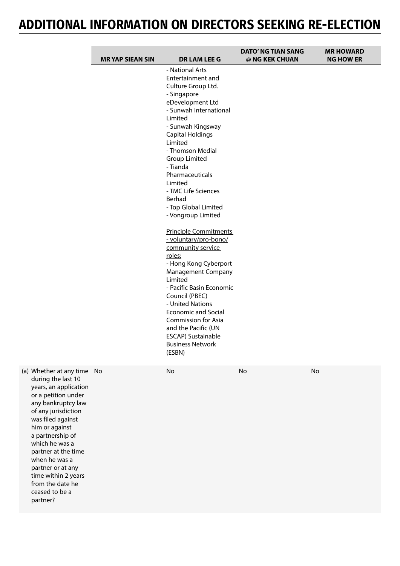| <b>MR YAP SIEAN SIN</b>                                                                                                | <b>DR LAM LEE G</b>                                                                                                                                                                                                                                                                                                                                                                                                                                                                                                                                                                                                                                                              | <b>DATO' NG TIAN SANG</b><br>@ NG KEK CHUAN | <b>MR HOWARD</b><br><b>NG HOW ER</b> |
|------------------------------------------------------------------------------------------------------------------------|----------------------------------------------------------------------------------------------------------------------------------------------------------------------------------------------------------------------------------------------------------------------------------------------------------------------------------------------------------------------------------------------------------------------------------------------------------------------------------------------------------------------------------------------------------------------------------------------------------------------------------------------------------------------------------|---------------------------------------------|--------------------------------------|
|                                                                                                                        | - National Arts<br>Entertainment and<br>Culture Group Ltd.<br>- Singapore<br>eDevelopment Ltd<br>- Sunwah International<br>Limited<br>- Sunwah Kingsway<br><b>Capital Holdings</b><br>Limited<br>- Thomson Medial<br><b>Group Limited</b><br>- Tianda<br>Pharmaceuticals<br>Limited<br>- TMC Life Sciences<br>Berhad<br>- Top Global Limited<br>- Vongroup Limited<br><b>Principle Commitments</b><br>- voluntary/pro-bono/<br>community service<br>roles:<br>- Hong Kong Cyberport<br><b>Management Company</b><br>Limited<br>- Pacific Basin Economic<br>Council (PBEC)<br>- United Nations<br><b>Economic and Social</b><br><b>Commission for Asia</b><br>and the Pacific (UN |                                             |                                      |
|                                                                                                                        | ESCAP) Sustainable<br><b>Business Network</b><br>(ESBN)                                                                                                                                                                                                                                                                                                                                                                                                                                                                                                                                                                                                                          |                                             |                                      |
| (a) Whether at any time No<br>during the last 10<br>years, an application<br>or a petition under<br>any bankruptcy law | No                                                                                                                                                                                                                                                                                                                                                                                                                                                                                                                                                                                                                                                                               | No                                          | No                                   |

during the last 10 years, an application or a petition under any bankruptcy law of any jurisdiction was filed against him or against a partnership of which he was a partner at the time when he was a partner or at any time within 2 years from the date he ceased to be a partner?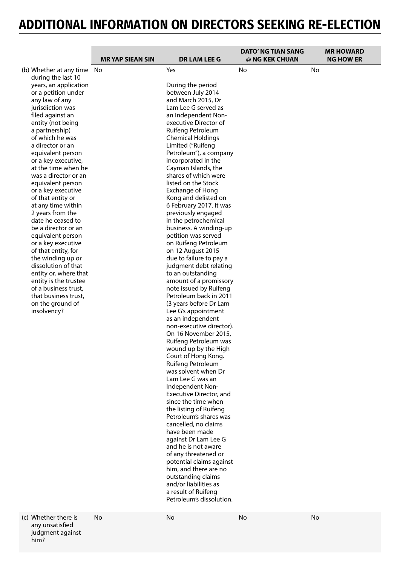|                                                  |                        |                                                  | <b>DATO' NG TIAN SANG</b> |    | <b>MR HOWARD</b> |
|--------------------------------------------------|------------------------|--------------------------------------------------|---------------------------|----|------------------|
|                                                  | <b>MRYAP SIEAN SIN</b> | <b>DR LAM LEE G</b>                              | @ NG KEK CHUAN            |    | <b>NG HOW ER</b> |
| (b) Whether at any time No<br>during the last 10 |                        | Yes                                              | No                        | No |                  |
| years, an application                            |                        | During the period                                |                           |    |                  |
| or a petition under                              |                        | between July 2014                                |                           |    |                  |
| any law of any                                   |                        | and March 2015, Dr                               |                           |    |                  |
| jurisdiction was                                 |                        | Lam Lee G served as                              |                           |    |                  |
| filed against an                                 |                        | an Independent Non-                              |                           |    |                  |
| entity (not being                                |                        | executive Director of                            |                           |    |                  |
| a partnership)                                   |                        | Ruifeng Petroleum                                |                           |    |                  |
| of which he was                                  |                        | <b>Chemical Holdings</b>                         |                           |    |                  |
| a director or an                                 |                        | Limited ("Ruifeng                                |                           |    |                  |
| equivalent person                                |                        | Petroleum"), a company                           |                           |    |                  |
| or a key executive,                              |                        | incorporated in the                              |                           |    |                  |
| at the time when he                              |                        | Cayman Islands, the                              |                           |    |                  |
| was a director or an                             |                        | shares of which were                             |                           |    |                  |
| equivalent person<br>or a key executive          |                        | listed on the Stock                              |                           |    |                  |
| of that entity or                                |                        | Exchange of Hong<br>Kong and delisted on         |                           |    |                  |
| at any time within                               |                        | 6 February 2017. It was                          |                           |    |                  |
| 2 years from the                                 |                        | previously engaged                               |                           |    |                  |
| date he ceased to                                |                        | in the petrochemical                             |                           |    |                  |
| be a director or an                              |                        | business. A winding-up                           |                           |    |                  |
| equivalent person                                |                        | petition was served                              |                           |    |                  |
| or a key executive                               |                        | on Ruifeng Petroleum                             |                           |    |                  |
| of that entity, for                              |                        | on 12 August 2015                                |                           |    |                  |
| the winding up or                                |                        | due to failure to pay a                          |                           |    |                  |
| dissolution of that                              |                        | judgment debt relating                           |                           |    |                  |
| entity or, where that                            |                        | to an outstanding                                |                           |    |                  |
| entity is the trustee                            |                        | amount of a promissory                           |                           |    |                  |
| of a business trust,                             |                        | note issued by Ruifeng                           |                           |    |                  |
| that business trust,                             |                        | Petroleum back in 2011                           |                           |    |                  |
| on the ground of                                 |                        | (3 years before Dr Lam                           |                           |    |                  |
| insolvency?                                      |                        | Lee G's appointment                              |                           |    |                  |
|                                                  |                        | as an independent                                |                           |    |                  |
|                                                  |                        | non-executive director).<br>On 16 November 2015, |                           |    |                  |
|                                                  |                        | Ruifeng Petroleum was                            |                           |    |                  |
|                                                  |                        | wound up by the High                             |                           |    |                  |
|                                                  |                        | Court of Hong Kong.                              |                           |    |                  |
|                                                  |                        | Ruifeng Petroleum                                |                           |    |                  |
|                                                  |                        | was solvent when Dr                              |                           |    |                  |
|                                                  |                        | Lam Lee G was an                                 |                           |    |                  |
|                                                  |                        | Independent Non-                                 |                           |    |                  |
|                                                  |                        | Executive Director, and                          |                           |    |                  |
|                                                  |                        | since the time when                              |                           |    |                  |
|                                                  |                        | the listing of Ruifeng                           |                           |    |                  |
|                                                  |                        | Petroleum's shares was                           |                           |    |                  |
|                                                  |                        | cancelled, no claims                             |                           |    |                  |
|                                                  |                        | have been made                                   |                           |    |                  |
|                                                  |                        | against Dr Lam Lee G                             |                           |    |                  |
|                                                  |                        | and he is not aware                              |                           |    |                  |
|                                                  |                        | of any threatened or                             |                           |    |                  |
|                                                  |                        | potential claims against                         |                           |    |                  |
|                                                  |                        | him, and there are no                            |                           |    |                  |
|                                                  |                        | outstanding claims<br>and/or liabilities as      |                           |    |                  |
|                                                  |                        | a result of Ruifeng                              |                           |    |                  |
|                                                  |                        | Petroleum's dissolution.                         |                           |    |                  |
|                                                  |                        |                                                  |                           |    |                  |
|                                                  |                        |                                                  |                           |    |                  |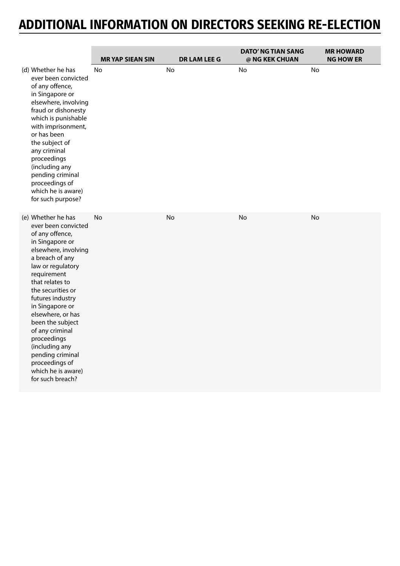|                                                                                                                                                                                                                                                                                                                                                                                                                            | <b>MRYAP SIEAN SIN</b> | <b>DR LAM LEE G</b> | <b>DATO' NG TIAN SANG</b><br>@ NG KEK CHUAN | <b>MR HOWARD</b><br><b>NG HOW ER</b> |
|----------------------------------------------------------------------------------------------------------------------------------------------------------------------------------------------------------------------------------------------------------------------------------------------------------------------------------------------------------------------------------------------------------------------------|------------------------|---------------------|---------------------------------------------|--------------------------------------|
| (d) Whether he has<br>ever been convicted<br>of any offence,<br>in Singapore or<br>elsewhere, involving<br>fraud or dishonesty<br>which is punishable<br>with imprisonment,<br>or has been<br>the subject of<br>any criminal<br>proceedings<br>(including any<br>pending criminal<br>proceedings of<br>which he is aware)<br>for such purpose?                                                                             | <b>No</b>              | No                  | No                                          | No                                   |
| (e) Whether he has<br>ever been convicted<br>of any offence,<br>in Singapore or<br>elsewhere, involving<br>a breach of any<br>law or regulatory<br>requirement<br>that relates to<br>the securities or<br>futures industry<br>in Singapore or<br>elsewhere, or has<br>been the subject<br>of any criminal<br>proceedings<br>(including any<br>pending criminal<br>proceedings of<br>which he is aware)<br>for such breach? | No                     | No                  | No                                          | No                                   |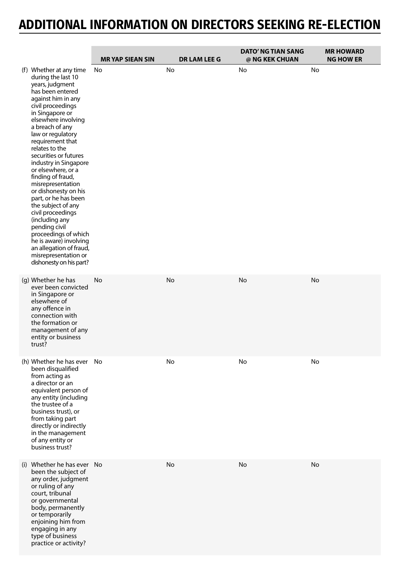|                                                                                                                                                                                                                                                                                                                                                                                                                                                                                                                                                                                                                                         | <b>MRYAP SIEAN SIN</b> | <b>DR LAM LEE G</b> | <b>DATO' NG TIAN SANG</b><br>@ NG KEK CHUAN | <b>MR HOWARD</b><br><b>NG HOW ER</b> |
|-----------------------------------------------------------------------------------------------------------------------------------------------------------------------------------------------------------------------------------------------------------------------------------------------------------------------------------------------------------------------------------------------------------------------------------------------------------------------------------------------------------------------------------------------------------------------------------------------------------------------------------------|------------------------|---------------------|---------------------------------------------|--------------------------------------|
| (f) Whether at any time<br>during the last 10<br>years, judgment<br>has been entered<br>against him in any<br>civil proceedings<br>in Singapore or<br>elsewhere involving<br>a breach of any<br>law or regulatory<br>requirement that<br>relates to the<br>securities or futures<br>industry in Singapore<br>or elsewhere, or a<br>finding of fraud,<br>misrepresentation<br>or dishonesty on his<br>part, or he has been<br>the subject of any<br>civil proceedings<br>(including any<br>pending civil<br>proceedings of which<br>he is aware) involving<br>an allegation of fraud,<br>misrepresentation or<br>dishonesty on his part? | No                     | No                  | No                                          | No                                   |
| (g) Whether he has<br>ever been convicted<br>in Singapore or<br>elsewhere of<br>any offence in<br>connection with<br>the formation or<br>management of any<br>entity or business<br>trust?                                                                                                                                                                                                                                                                                                                                                                                                                                              | No                     | No                  | No                                          | No                                   |
| (h) Whether he has ever No<br>been disqualified<br>from acting as<br>a director or an<br>equivalent person of<br>any entity (including<br>the trustee of a<br>business trust), or<br>from taking part<br>directly or indirectly<br>in the management<br>of any entity or<br>business trust?                                                                                                                                                                                                                                                                                                                                             |                        | No                  | No                                          | No                                   |
| (i) Whether he has ever No<br>been the subject of<br>any order, judgment<br>or ruling of any<br>court, tribunal<br>or governmental<br>body, permanently<br>or temporarily<br>enjoining him from<br>engaging in any<br>type of business<br>practice or activity?                                                                                                                                                                                                                                                                                                                                                                         |                        | No                  | No                                          | <b>No</b>                            |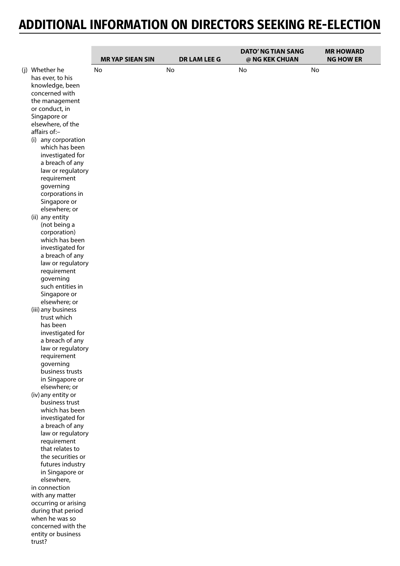|                                                                                                                                                                                                                                                                       | <b>MR YAP SIEAN SIN</b> |    | <b>DR LAM LEE G</b> | <b>DATO' NG TIAN SANG</b><br>@ NG KEK CHUAN |    | <b>MR HOWARD</b><br><b>NG HOW ER</b> |
|-----------------------------------------------------------------------------------------------------------------------------------------------------------------------------------------------------------------------------------------------------------------------|-------------------------|----|---------------------|---------------------------------------------|----|--------------------------------------|
|                                                                                                                                                                                                                                                                       |                         |    |                     |                                             |    |                                      |
| (j) Whether he<br>has ever, to his<br>knowledge, been<br>concerned with<br>the management<br>or conduct, in<br>Singapore or<br>elsewhere, of the<br>affairs of:-<br>(i) any corporation<br>which has been<br>investigated for<br>a breach of any<br>law or regulatory | No                      | No |                     | No                                          | No |                                      |
| requirement<br>governing<br>corporations in                                                                                                                                                                                                                           |                         |    |                     |                                             |    |                                      |
| Singapore or<br>elsewhere; or                                                                                                                                                                                                                                         |                         |    |                     |                                             |    |                                      |
| (ii) any entity<br>(not being a<br>corporation)<br>which has been                                                                                                                                                                                                     |                         |    |                     |                                             |    |                                      |
| investigated for<br>a breach of any<br>law or regulatory                                                                                                                                                                                                              |                         |    |                     |                                             |    |                                      |
| requirement<br>governing<br>such entities in                                                                                                                                                                                                                          |                         |    |                     |                                             |    |                                      |
| Singapore or<br>elsewhere; or                                                                                                                                                                                                                                         |                         |    |                     |                                             |    |                                      |
| (iii) any business<br>trust which<br>has been                                                                                                                                                                                                                         |                         |    |                     |                                             |    |                                      |
| investigated for<br>a breach of any<br>law or regulatory                                                                                                                                                                                                              |                         |    |                     |                                             |    |                                      |
| requirement<br>governing<br>business trusts                                                                                                                                                                                                                           |                         |    |                     |                                             |    |                                      |
| in Singapore or<br>elsewhere; or                                                                                                                                                                                                                                      |                         |    |                     |                                             |    |                                      |
| (iv) any entity or<br>business trust<br>which has been                                                                                                                                                                                                                |                         |    |                     |                                             |    |                                      |
| investigated for<br>a breach of any<br>law or regulatory                                                                                                                                                                                                              |                         |    |                     |                                             |    |                                      |
| requirement<br>that relates to                                                                                                                                                                                                                                        |                         |    |                     |                                             |    |                                      |
| the securities or<br>futures industry<br>in Singapore or<br>elsewhere,                                                                                                                                                                                                |                         |    |                     |                                             |    |                                      |
| in connection<br>with any matter<br>occurring or arising                                                                                                                                                                                                              |                         |    |                     |                                             |    |                                      |
| during that period<br>when he was so<br>concerned with the                                                                                                                                                                                                            |                         |    |                     |                                             |    |                                      |
| entity or business<br>trust?                                                                                                                                                                                                                                          |                         |    |                     |                                             |    |                                      |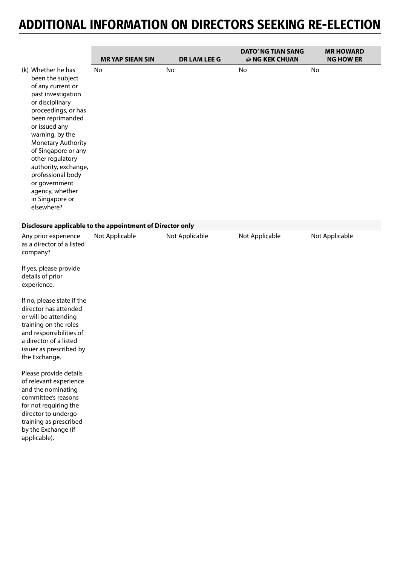|                                                                                                                                                                                                                                                                                                                                                                                                                                                                                                                                                       | <b>MRYAP SIEAN SIN</b>                                    | <b>DR LAM LEE G</b> | <b>DATO' NG TIAN SANG</b><br>@ NG KEK CHUAN | <b>MR HOWARD</b><br><b>NG HOW ER</b> |
|-------------------------------------------------------------------------------------------------------------------------------------------------------------------------------------------------------------------------------------------------------------------------------------------------------------------------------------------------------------------------------------------------------------------------------------------------------------------------------------------------------------------------------------------------------|-----------------------------------------------------------|---------------------|---------------------------------------------|--------------------------------------|
| (k) Whether he has<br>been the subject<br>of any current or<br>past investigation<br>or disciplinary<br>proceedings, or has<br>been reprimanded<br>or issued any<br>warning, by the<br>Monetary Authority<br>of Singapore or any<br>other regulatory<br>authority, exchange,<br>professional body<br>or government<br>agency, whether<br>in Singapore or<br>elsewhere?                                                                                                                                                                                | No                                                        | No                  | No                                          | No                                   |
|                                                                                                                                                                                                                                                                                                                                                                                                                                                                                                                                                       | Disclosure applicable to the appointment of Director only |                     |                                             |                                      |
| Any prior experience<br>as a director of a listed<br>company?<br>If yes, please provide<br>details of prior<br>experience.<br>If no, please state if the<br>director has attended<br>or will be attending<br>training on the roles<br>and responsibilities of<br>a director of a listed<br>issuer as prescribed by<br>the Exchange.<br>Please provide details<br>of relevant experience<br>and the nominating<br>committee's reasons<br>for not requiring the<br>director to undergo<br>training as prescribed<br>by the Exchange (if<br>applicable). | Not Applicable                                            | Not Applicable      | Not Applicable                              | Not Applicable                       |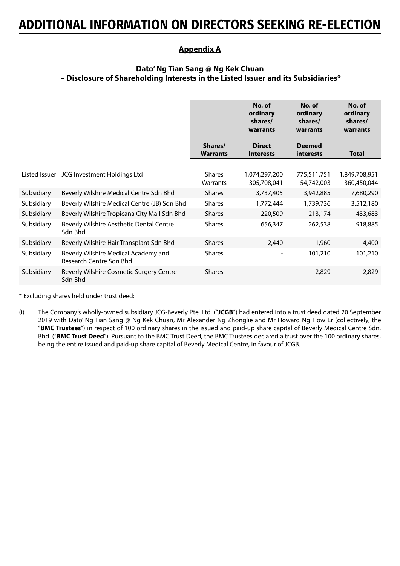### **Appendix A**

### **Dato' Ng Tian Sang @ Ng Kek Chuan – Disclosure of Shareholding Interests in the Listed Issuer and its Subsidiaries\***

|               |                                                                 |                            | No. of<br>ordinary<br>shares/<br>warrants | No. of<br>ordinary<br>shares/<br>warrants | No. of<br>ordinary<br>shares/<br>warrants |
|---------------|-----------------------------------------------------------------|----------------------------|-------------------------------------------|-------------------------------------------|-------------------------------------------|
|               |                                                                 | Shares/<br><b>Warrants</b> | <b>Direct</b><br><b>Interests</b>         | <b>Deemed</b><br>interests                | <b>Total</b>                              |
| Listed Issuer | JCG Investment Holdings Ltd                                     | <b>Shares</b><br>Warrants  | 1,074,297,200<br>305,708,041              | 775,511,751<br>54,742,003                 | 1,849,708,951<br>360,450,044              |
| Subsidiary    | Beverly Wilshire Medical Centre Sdn Bhd                         | <b>Shares</b>              | 3,737,405                                 | 3,942,885                                 | 7,680,290                                 |
| Subsidiary    | Beverly Wilshire Medical Centre (JB) Sdn Bhd                    | <b>Shares</b>              | 1,772,444                                 | 1,739,736                                 | 3,512,180                                 |
| Subsidiary    | Beverly Wilshire Tropicana City Mall Sdn Bhd                    | <b>Shares</b>              | 220,509                                   | 213,174                                   | 433,683                                   |
| Subsidiary    | Beverly Wilshire Aesthetic Dental Centre<br>Sdn Bhd             | <b>Shares</b>              | 656,347                                   | 262,538                                   | 918,885                                   |
| Subsidiary    | Beverly Wilshire Hair Transplant Sdn Bhd                        | <b>Shares</b>              | 2,440                                     | 1,960                                     | 4,400                                     |
| Subsidiary    | Beverly Wilshire Medical Academy and<br>Research Centre Sdn Bhd | <b>Shares</b>              |                                           | 101,210                                   | 101,210                                   |
| Subsidiary    | Beverly Wilshire Cosmetic Surgery Centre<br>Sdn Bhd             | <b>Shares</b>              |                                           | 2,829                                     | 2,829                                     |

\* Excluding shares held under trust deed:

(i) The Company's wholly-owned subsidiary JCG-Beverly Pte. Ltd. ("**JCGB**") had entered into a trust deed dated 20 September 2019 with Dato' Ng Tian Sang @ Ng Kek Chuan, Mr Alexander Ng Zhonglie and Mr Howard Ng How Er (collectively, the "**BMC Trustees**") in respect of 100 ordinary shares in the issued and paid-up share capital of Beverly Medical Centre Sdn. Bhd. ("**BMC Trust Deed**"). Pursuant to the BMC Trust Deed, the BMC Trustees declared a trust over the 100 ordinary shares, being the entire issued and paid-up share capital of Beverly Medical Centre, in favour of JCGB.